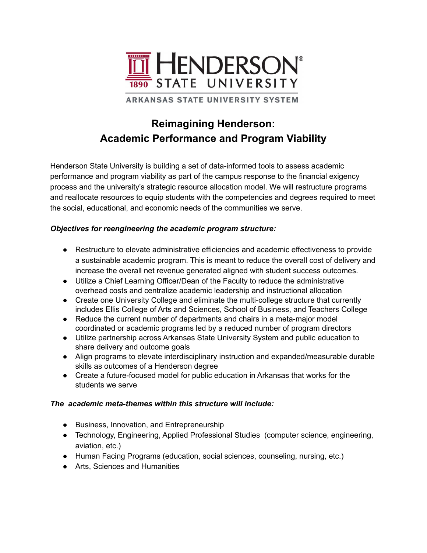

**ARKANSAS STATE UNIVERSITY SYSTEM** 

# **Reimagining Henderson: Academic Performance and Program Viability**

Henderson State University is building a set of data-informed tools to assess academic performance and program viability as part of the campus response to the financial exigency process and the university's strategic resource allocation model. We will restructure programs and reallocate resources to equip students with the competencies and degrees required to meet the social, educational, and economic needs of the communities we serve.

## *Objectives for reengineering the academic program structure:*

- Restructure to elevate administrative efficiencies and academic effectiveness to provide a sustainable academic program. This is meant to reduce the overall cost of delivery and increase the overall net revenue generated aligned with student success outcomes.
- Utilize a Chief Learning Officer/Dean of the Faculty to reduce the administrative overhead costs and centralize academic leadership and instructional allocation
- Create one University College and eliminate the multi-college structure that currently includes Ellis College of Arts and Sciences, School of Business, and Teachers College
- Reduce the current number of departments and chairs in a meta-major model coordinated or academic programs led by a reduced number of program directors
- Utilize partnership across Arkansas State University System and public education to share delivery and outcome goals
- Align programs to elevate interdisciplinary instruction and expanded/measurable durable skills as outcomes of a Henderson degree
- Create a future-focused model for public education in Arkansas that works for the students we serve

### *The academic meta-themes within this structure will include:*

- Business, Innovation, and Entrepreneurship
- Technology, Engineering, Applied Professional Studies (computer science, engineering, aviation, etc.)
- Human Facing Programs (education, social sciences, counseling, nursing, etc.)
- Arts, Sciences and Humanities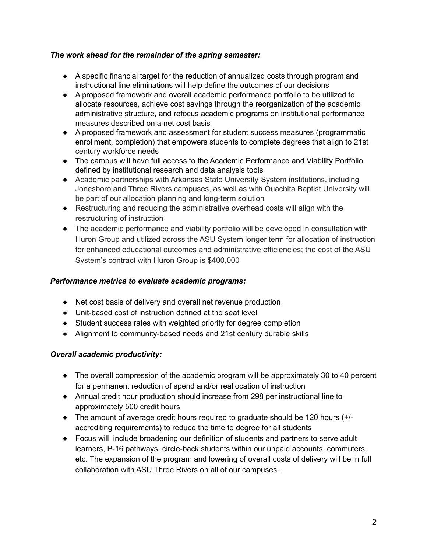#### *The work ahead for the remainder of the spring semester:*

- A specific financial target for the reduction of annualized costs through program and instructional line eliminations will help define the outcomes of our decisions
- A proposed framework and overall academic performance portfolio to be utilized to allocate resources, achieve cost savings through the reorganization of the academic administrative structure, and refocus academic programs on institutional performance measures described on a net cost basis
- A proposed framework and assessment for student success measures (programmatic enrollment, completion) that empowers students to complete degrees that align to 21st century workforce needs
- The campus will have full access to the Academic Performance and Viability Portfolio defined by institutional research and data analysis tools
- Academic partnerships with Arkansas State University System institutions, including Jonesboro and Three Rivers campuses, as well as with Ouachita Baptist University will be part of our allocation planning and long-term solution
- Restructuring and reducing the administrative overhead costs will align with the restructuring of instruction
- The academic performance and viability portfolio will be developed in consultation with Huron Group and utilized across the ASU System longer term for allocation of instruction for enhanced educational outcomes and administrative efficiencies; the cost of the ASU System's contract with Huron Group is \$400,000

#### *Performance metrics to evaluate academic programs:*

- Net cost basis of delivery and overall net revenue production
- Unit-based cost of instruction defined at the seat level
- Student success rates with weighted priority for degree completion
- Alignment to community-based needs and 21st century durable skills

### *Overall academic productivity:*

- The overall compression of the academic program will be approximately 30 to 40 percent for a permanent reduction of spend and/or reallocation of instruction
- Annual credit hour production should increase from 298 per instructional line to approximately 500 credit hours
- The amount of average credit hours required to graduate should be 120 hours (+/ accrediting requirements) to reduce the time to degree for all students
- Focus will include broadening our definition of students and partners to serve adult learners, P-16 pathways, circle-back students within our unpaid accounts, commuters, etc. The expansion of the program and lowering of overall costs of delivery will be in full collaboration with ASU Three Rivers on all of our campuses..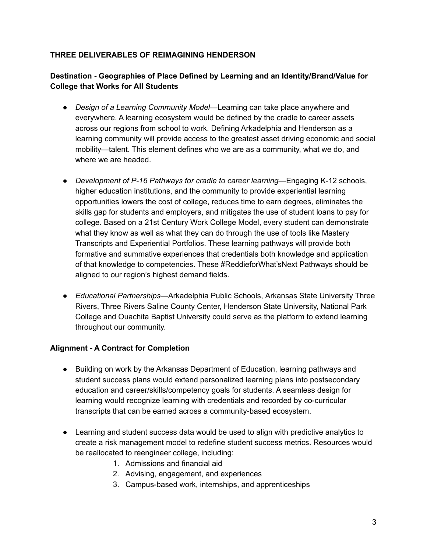## **THREE DELIVERABLES OF REIMAGINING HENDERSON**

# **Destination - Geographies of Place Defined by Learning and an Identity/Brand/Value for College that Works for All Students**

- *Design of a Learning Community Model*—Learning can take place anywhere and everywhere. A learning ecosystem would be defined by the cradle to career assets across our regions from school to work. Defining Arkadelphia and Henderson as a learning community will provide access to the greatest asset driving economic and social mobility—talent. This element defines who we are as a community, what we do, and where we are headed.
- *Development of P-16 Pathways for cradle to career learning*—Engaging K-12 schools, higher education institutions, and the community to provide experiential learning opportunities lowers the cost of college, reduces time to earn degrees, eliminates the skills gap for students and employers, and mitigates the use of student loans to pay for college. Based on a 21st Century Work College Model, every student can demonstrate what they know as well as what they can do through the use of tools like Mastery Transcripts and Experiential Portfolios. These learning pathways will provide both formative and summative experiences that credentials both knowledge and application of that knowledge to competencies. These #ReddieforWhat'sNext Pathways should be aligned to our region's highest demand fields.
- *Educational Partnerships—*Arkadelphia Public Schools, Arkansas State University Three Rivers, Three Rivers Saline County Center, Henderson State University, National Park College and Ouachita Baptist University could serve as the platform to extend learning throughout our community.

### **Alignment - A Contract for Completion**

- Building on work by the Arkansas Department of Education, learning pathways and student success plans would extend personalized learning plans into postsecondary education and career/skills/competency goals for students. A seamless design for learning would recognize learning with credentials and recorded by co-curricular transcripts that can be earned across a community-based ecosystem.
- Learning and student success data would be used to align with predictive analytics to create a risk management model to redefine student success metrics. Resources would be reallocated to reengineer college, including:
	- 1. Admissions and financial aid
	- 2. Advising, engagement, and experiences
	- 3. Campus-based work, internships, and apprenticeships